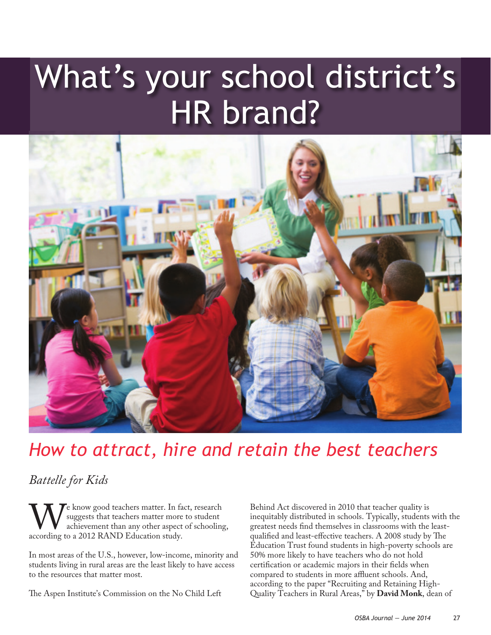# What's your school district's HR brand?



## *How to attract, hire and retain the best teachers*

## *Battelle for Kids*

We know good teachers matter. In fact, research<br>achievement than any other aspect of schooling<br>according to a 2012 RAND Education study. suggests that teachers matter more to student achievement than any other aspect of schooling, according to a 2012 RAND Education study.

In most areas of the U.S., however, low-income, minority and students living in rural areas are the least likely to have access to the resources that matter most.

The Aspen Institute's Commission on the No Child Left

Behind Act discovered in 2010 that teacher quality is inequitably distributed in schools. Typically, students with the greatest needs find themselves in classrooms with the leastqualified and least-effective teachers. A 2008 study by The Education Trust found students in high-poverty schools are 50% more likely to have teachers who do not hold certification or academic majors in their fields when compared to students in more affluent schools. And, according to the paper "Recruiting and Retaining High-Quality Teachers in Rural Areas," by **David Monk**, dean of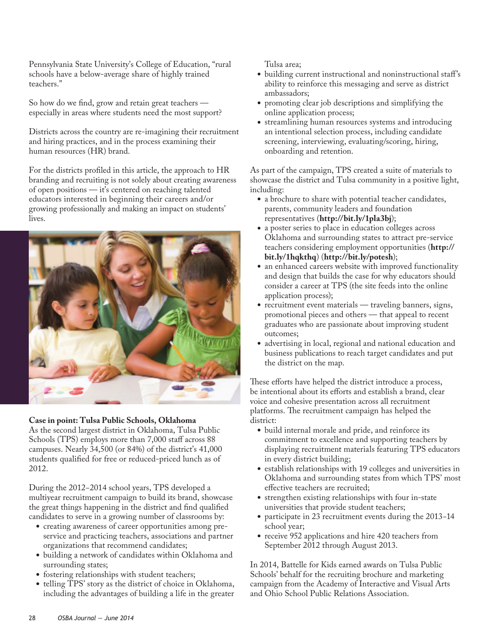Pennsylvania State University's College of Education, "rural schools have a below-average share of highly trained teachers."

So how do we find, grow and retain great teachers especially in areas where students need the most support?

Districts across the country are re-imagining their recruitment and hiring practices, and in the process examining their human resources (HR) brand.

For the districts profiled in this article, the approach to HR branding and recruiting is not solely about creating awareness of open positions — it's centered on reaching talented educators interested in beginning their careers and/or growing professionally and making an impact on students' lives.



### **Case in point: Tulsa Public Schools, Oklahoma**

As the second largest district in Oklahoma, Tulsa Public Schools (TPS) employs more than 7,000 staff across 88 campuses. Nearly 34,500 (or 84%) of the district's 41,000 students qualified for free or reduced-priced lunch as of 2012.

During the 2012−2014 school years, TPS developed a multiyear recruitment campaign to build its brand, showcase the great things happening in the district and find qualified candidates to serve in a growing number of classrooms by:

- creating awareness of career opportunities among preservice and practicing teachers, associations and partner organizations that recommend candidates;
- building a network of candidates within Oklahoma and surrounding states;
- fostering relationships with student teachers;
- telling TPS' story as the district of choice in Oklahoma, including the advantages of building a life in the greater

Tulsa area;

- building current instructional and noninstructional staff's ability to reinforce this messaging and serve as district ambassadors;
- promoting clear job descriptions and simplifying the online application process;
- streamlining human resources systems and introducing an intentional selection process, including candidate screening, interviewing, evaluating/scoring, hiring, onboarding and retention.

As part of the campaign, TPS created a suite of materials to showcase the district and Tulsa community in a positive light, including:

- a brochure to share with potential teacher candidates, parents, community leaders and foundation representatives (**http://bit.ly/1pla3bj**);
- a poster series to place in education colleges across Oklahoma and surrounding states to attract pre-service teachers considering employment opportunities (**http:// bit.ly/1hqkthq**) (**http://bit.ly/potesh**);
- an enhanced careers website with improved functionality and design that builds the case for why educators should consider a career at TPS (the site feeds into the online application process);
- recruitment event materials traveling banners, signs, promotional pieces and others — that appeal to recent graduates who are passionate about improving student outcomes;
- advertising in local, regional and national education and business publications to reach target candidates and put the district on the map.

These efforts have helped the district introduce a process, be intentional about its efforts and establish a brand, clear voice and cohesive presentation across all recruitment platforms. The recruitment campaign has helped the district:

- build internal morale and pride, and reinforce its commitment to excellence and supporting teachers by displaying recruitment materials featuring TPS educators in every district building;
- establish relationships with 19 colleges and universities in Oklahoma and surrounding states from which TPS' most effective teachers are recruited;
- strengthen existing relationships with four in-state universities that provide student teachers;
- <sup>l</sup> participate in 23 recruitment events during the 2013−14 school year;
- receive 952 applications and hire 420 teachers from September 2012 through August 2013.

In 2014, Battelle for Kids earned awards on Tulsa Public Schools' behalf for the recruiting brochure and marketing campaign from the Academy of Interactive and Visual Arts and Ohio School Public Relations Association.